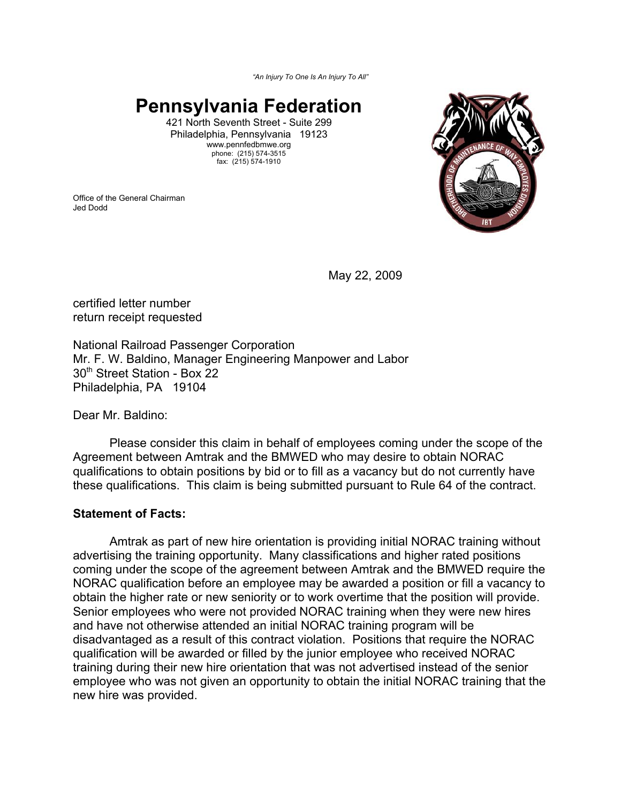*"An Injury To One Is An Injury To All"*

# **Pennsylvania Federation**

421 North Seventh Street - Suite 299 Philadelphia, Pennsylvania 19123 www.pennfedbmwe.org phone: (215) 574-3515 fax: (215) 574-1910

Office of the General Chairman Jed Dodd



May 22, 2009

certified letter number return receipt requested

National Railroad Passenger Corporation Mr. F. W. Baldino, Manager Engineering Manpower and Labor 30<sup>th</sup> Street Station - Box 22 Philadelphia, PA 19104

Dear Mr. Baldino:

Please consider this claim in behalf of employees coming under the scope of the Agreement between Amtrak and the BMWED who may desire to obtain NORAC qualifications to obtain positions by bid or to fill as a vacancy but do not currently have these qualifications. This claim is being submitted pursuant to Rule 64 of the contract.

## **Statement of Facts:**

Amtrak as part of new hire orientation is providing initial NORAC training without advertising the training opportunity. Many classifications and higher rated positions coming under the scope of the agreement between Amtrak and the BMWED require the NORAC qualification before an employee may be awarded a position or fill a vacancy to obtain the higher rate or new seniority or to work overtime that the position will provide. Senior employees who were not provided NORAC training when they were new hires and have not otherwise attended an initial NORAC training program will be disadvantaged as a result of this contract violation. Positions that require the NORAC qualification will be awarded or filled by the junior employee who received NORAC training during their new hire orientation that was not advertised instead of the senior employee who was not given an opportunity to obtain the initial NORAC training that the new hire was provided.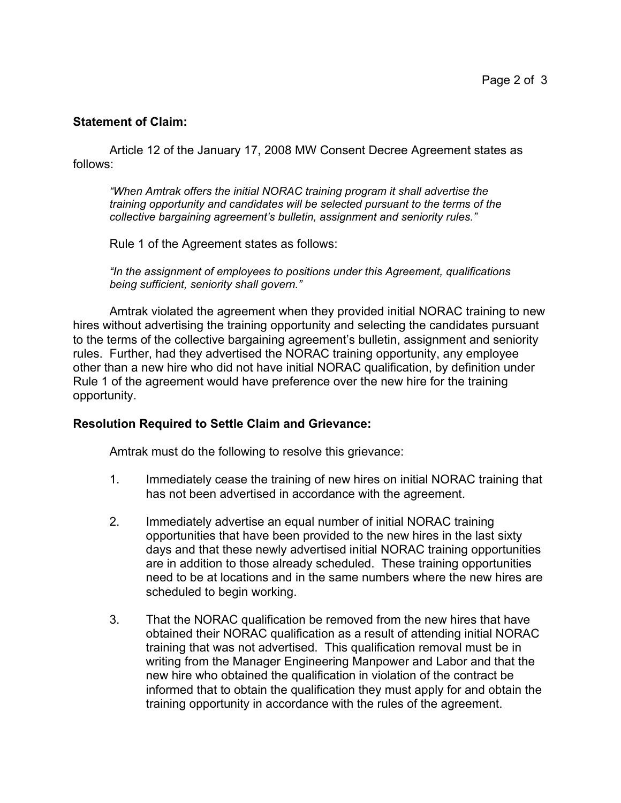### **Statement of Claim:**

Article 12 of the January 17, 2008 MW Consent Decree Agreement states as follows:

*"When Amtrak offers the initial NORAC training program it shall advertise the training opportunity and candidates will be selected pursuant to the terms of the collective bargaining agreement's bulletin, assignment and seniority rules."*

Rule 1 of the Agreement states as follows:

*"In the assignment of employees to positions under this Agreement, qualifications being sufficient, seniority shall govern."*

Amtrak violated the agreement when they provided initial NORAC training to new hires without advertising the training opportunity and selecting the candidates pursuant to the terms of the collective bargaining agreement's bulletin, assignment and seniority rules. Further, had they advertised the NORAC training opportunity, any employee other than a new hire who did not have initial NORAC qualification, by definition under Rule 1 of the agreement would have preference over the new hire for the training opportunity.

#### **Resolution Required to Settle Claim and Grievance:**

Amtrak must do the following to resolve this grievance:

- 1. Immediately cease the training of new hires on initial NORAC training that has not been advertised in accordance with the agreement.
- 2. Immediately advertise an equal number of initial NORAC training opportunities that have been provided to the new hires in the last sixty days and that these newly advertised initial NORAC training opportunities are in addition to those already scheduled. These training opportunities need to be at locations and in the same numbers where the new hires are scheduled to begin working.
- 3. That the NORAC qualification be removed from the new hires that have obtained their NORAC qualification as a result of attending initial NORAC training that was not advertised. This qualification removal must be in writing from the Manager Engineering Manpower and Labor and that the new hire who obtained the qualification in violation of the contract be informed that to obtain the qualification they must apply for and obtain the training opportunity in accordance with the rules of the agreement.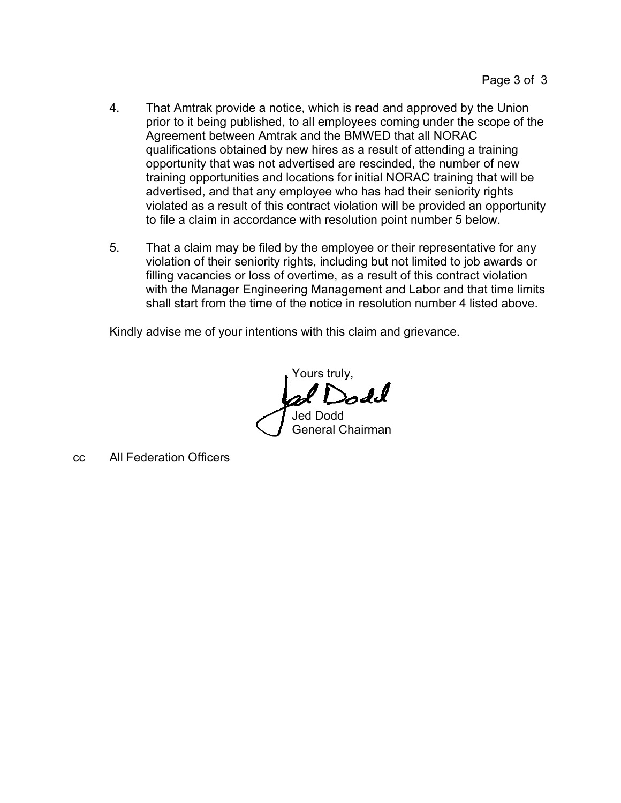- 4. That Amtrak provide a notice, which is read and approved by the Union prior to it being published, to all employees coming under the scope of the Agreement between Amtrak and the BMWED that all NORAC qualifications obtained by new hires as a result of attending a training opportunity that was not advertised are rescinded, the number of new training opportunities and locations for initial NORAC training that will be advertised, and that any employee who has had their seniority rights violated as a result of this contract violation will be provided an opportunity to file a claim in accordance with resolution point number 5 below.
- 5. That a claim may be filed by the employee or their representative for any violation of their seniority rights, including but not limited to job awards or filling vacancies or loss of overtime, as a result of this contract violation with the Manager Engineering Management and Labor and that time limits shall start from the time of the notice in resolution number 4 listed above.

Kindly advise me of your intentions with this claim and grievance.

Yours truly, of Dodd Jed Dodd General Chairman

cc All Federation Officers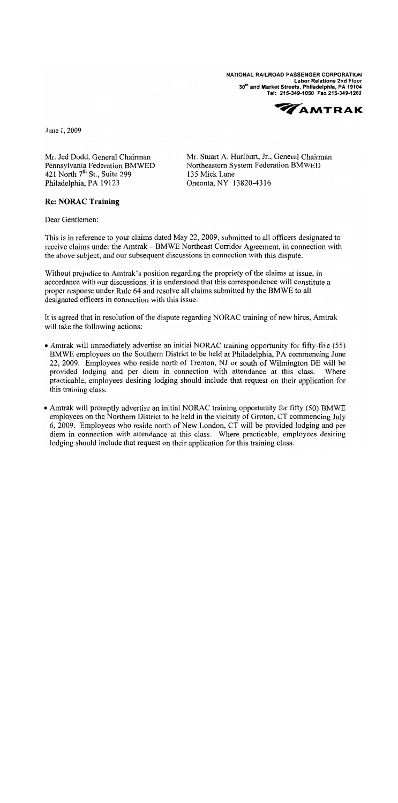NATIONAL RAILROAD PASSENGER CORPORATION **Labor Relations 2nd Floor** 30th and Market Streets, Philadelphia, PA 19104 Tel: 215-349-1050 Fax 215-349-1260



June 1, 2009

Mr. Jed Dodd, General Chairman Pennsylvania Federation BMWED 421 North 7<sup>th</sup> St., Suite 299 Philadelphia, PA 19123

Mr. Stuart A. Hurlburt, Jr., General Chairman Northeastern System Federation BMWED 135 Mick Lane Oneonta, NY 13820-4316

#### **Re: NORAC Training**

Dear Gentlemen:

This is in reference to your claims dated May 22, 2009, submitted to all officers designated to receive claims under the Amtrak - BMWE Northeast Corridor Agreement, in connection with the above subject, and our subsequent discussions in connection with this dispute.

Without prejudice to Amtrak's position regarding the propriety of the claims at issue, in accordance with our discussions, it is understood that this correspondence will constitute a proper response under Rule 64 and resolve all claims submitted by the BMWE to all designated officers in connection with this issue.

It is agreed that in resolution of the dispute regarding NORAC training of new hires, Amtrak will take the following actions:

- Amtrak will immediately advertise an initial NORAC training opportunity for fifty-five (55) BMWE employees on the Southern District to be held at Philadelphia, PA commencing June 22, 2009. Employees who reside north of Trenton, NJ or south of Wilmington DE will be provided lodging and per diem in connection with attendance at this class. Where practicable, employees desiring lodging should include that request on their application for this training class.
- Amtrak will promptly advertise an initial NORAC training opportunity for fifty (50) BMWE employees on the Northern District to be held in the vicinity of Groton, CT commencing July 6, 2009. Employees who reside north of New London, CT will be provided lodging and per diem in connection with attendance at this class. Where practicable, employees desiring lodging should include that request on their application for this training class.